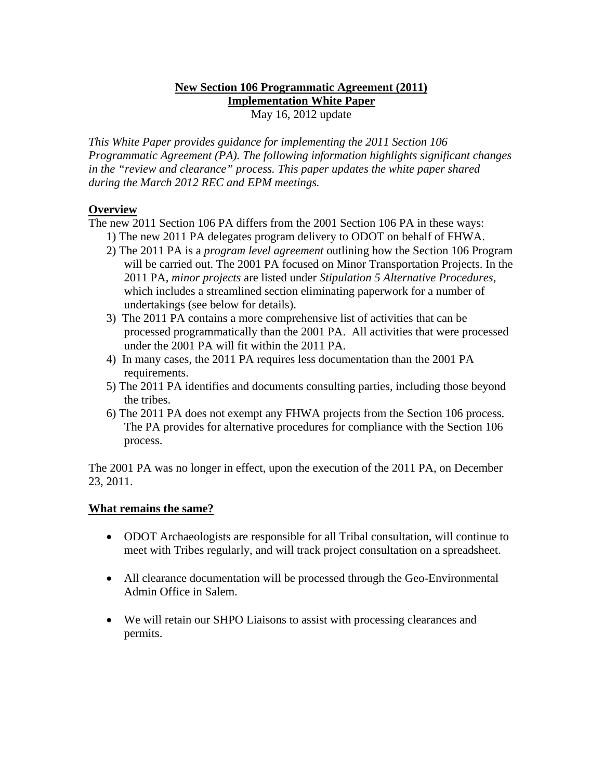#### **New Section 106 Programmatic Agreement (2011) Implementation White Paper** May 16, 2012 update

*This White Paper provides guidance for implementing the 2011 Section 106 Programmatic Agreement (PA). The following information highlights significant changes in the "review and clearance" process. This paper updates the white paper shared during the March 2012 REC and EPM meetings.* 

# **Overview**

The new 2011 Section 106 PA differs from the 2001 Section 106 PA in these ways:

- 1) The new 2011 PA delegates program delivery to ODOT on behalf of FHWA.
- 2) The 2011 PA is a *program level agreement* outlining how the Section 106 Program will be carried out. The 2001 PA focused on Minor Transportation Projects. In the 2011 PA, *minor projects* are listed under *Stipulation 5 Alternative Procedures,* which includes a streamlined section eliminating paperwork for a number of undertakings (see below for details).
- 3) The 2011 PA contains a more comprehensive list of activities that can be processed programmatically than the 2001 PA. All activities that were processed under the 2001 PA will fit within the 2011 PA.
- 4) In many cases, the 2011 PA requires less documentation than the 2001 PA requirements.
- 5) The 2011 PA identifies and documents consulting parties, including those beyond the tribes.
- 6) The 2011 PA does not exempt any FHWA projects from the Section 106 process. The PA provides for alternative procedures for compliance with the Section 106 process.

The 2001 PA was no longer in effect, upon the execution of the 2011 PA, on December 23, 2011.

# **What remains the same?**

- ODOT Archaeologists are responsible for all Tribal consultation, will continue to meet with Tribes regularly, and will track project consultation on a spreadsheet.
- All clearance documentation will be processed through the Geo-Environmental Admin Office in Salem.
- We will retain our SHPO Liaisons to assist with processing clearances and permits.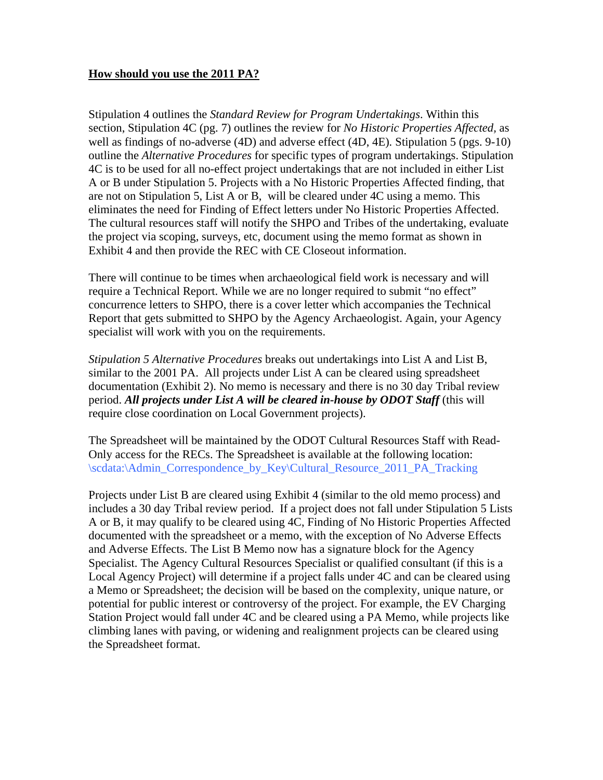## **How should you use the 2011 PA?**

Stipulation 4 outlines the *Standard Review for Program Undertakings*. Within this section, Stipulation 4C (pg. 7) outlines the review for *No Historic Properties Affected,* as well as findings of no-adverse (4D) and adverse effect (4D, 4E)*.* Stipulation 5 (pgs. 9-10) outline the *Alternative Procedures* for specific types of program undertakings. Stipulation 4C is to be used for all no-effect project undertakings that are not included in either List A or B under Stipulation 5. Projects with a No Historic Properties Affected finding, that are not on Stipulation 5, List A or B, will be cleared under 4C using a memo. This eliminates the need for Finding of Effect letters under No Historic Properties Affected. The cultural resources staff will notify the SHPO and Tribes of the undertaking, evaluate the project via scoping, surveys, etc, document using the memo format as shown in Exhibit 4 and then provide the REC with CE Closeout information.

There will continue to be times when archaeological field work is necessary and will require a Technical Report. While we are no longer required to submit "no effect" concurrence letters to SHPO, there is a cover letter which accompanies the Technical Report that gets submitted to SHPO by the Agency Archaeologist. Again, your Agency specialist will work with you on the requirements.

*Stipulation 5 Alternative Procedures* breaks out undertakings into List A and List B, similar to the 2001 PA. All projects under List A can be cleared using spreadsheet documentation (Exhibit 2). No memo is necessary and there is no 30 day Tribal review period. *All projects under List A will be cleared in-house by ODOT Staff* (this will require close coordination on Local Government projects).

The Spreadsheet will be maintained by the ODOT Cultural Resources Staff with Read-Only access for the RECs. The Spreadsheet is available at the following location: \scdata:\Admin\_Correspondence\_by\_Key\Cultural\_Resource\_2011\_PA\_Tracking

Projects under List B are cleared using Exhibit 4 (similar to the old memo process) and includes a 30 day Tribal review period. If a project does not fall under Stipulation 5 Lists A or B, it may qualify to be cleared using 4C, Finding of No Historic Properties Affected documented with the spreadsheet or a memo, with the exception of No Adverse Effects and Adverse Effects. The List B Memo now has a signature block for the Agency Specialist. The Agency Cultural Resources Specialist or qualified consultant (if this is a Local Agency Project) will determine if a project falls under 4C and can be cleared using a Memo or Spreadsheet; the decision will be based on the complexity, unique nature, or potential for public interest or controversy of the project. For example, the EV Charging Station Project would fall under 4C and be cleared using a PA Memo, while projects like climbing lanes with paving, or widening and realignment projects can be cleared using the Spreadsheet format.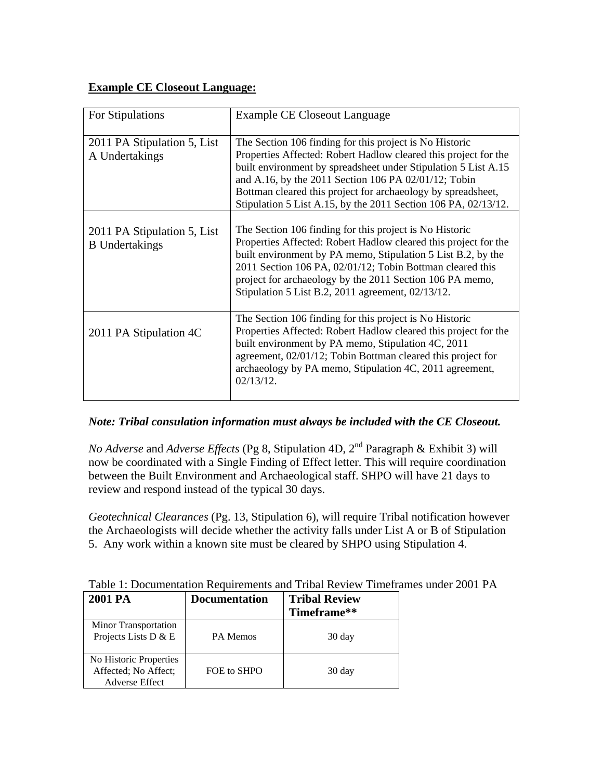## **Example CE Closeout Language:**

| For Stipulations                                     | Example CE Closeout Language                                                                                                                                                                                                                                                                                                                                                           |
|------------------------------------------------------|----------------------------------------------------------------------------------------------------------------------------------------------------------------------------------------------------------------------------------------------------------------------------------------------------------------------------------------------------------------------------------------|
| 2011 PA Stipulation 5, List<br>A Undertakings        | The Section 106 finding for this project is No Historic<br>Properties Affected: Robert Hadlow cleared this project for the<br>built environment by spreadsheet under Stipulation 5 List A.15<br>and A.16, by the 2011 Section 106 PA 02/01/12; Tobin<br>Bottman cleared this project for archaeology by spreadsheet,<br>Stipulation 5 List A.15, by the 2011 Section 106 PA, 02/13/12. |
| 2011 PA Stipulation 5, List<br><b>B</b> Undertakings | The Section 106 finding for this project is No Historic<br>Properties Affected: Robert Hadlow cleared this project for the<br>built environment by PA memo, Stipulation 5 List B.2, by the<br>2011 Section 106 PA, 02/01/12; Tobin Bottman cleared this<br>project for archaeology by the 2011 Section 106 PA memo,<br>Stipulation 5 List B.2, 2011 agreement, 02/13/12.               |
| 2011 PA Stipulation 4C                               | The Section 106 finding for this project is No Historic<br>Properties Affected: Robert Hadlow cleared this project for the<br>built environment by PA memo, Stipulation 4C, 2011<br>agreement, 02/01/12; Tobin Bottman cleared this project for<br>archaeology by PA memo, Stipulation 4C, 2011 agreement,<br>$02/13/12$ .                                                             |

# *Note: Tribal consulation information must always be included with the CE Closeout.*

*No Adverse* and *Adverse Effects* (Pg 8, Stipulation 4D, 2nd Paragraph & Exhibit 3) will now be coordinated with a Single Finding of Effect letter. This will require coordination between the Built Environment and Archaeological staff. SHPO will have 21 days to review and respond instead of the typical 30 days.

*Geotechnical Clearances* (Pg. 13, Stipulation 6), will require Tribal notification however the Archaeologists will decide whether the activity falls under List A or B of Stipulation 5. Any work within a known site must be cleared by SHPO using Stipulation 4.

| Table 1: Documentation Requirements and Tribal Review Timeframes under 2001 PA |  |  |
|--------------------------------------------------------------------------------|--|--|
|--------------------------------------------------------------------------------|--|--|

| 2001 PA                                                                 | <b>Documentation</b> | <b>Tribal Review</b><br>Timeframe** |
|-------------------------------------------------------------------------|----------------------|-------------------------------------|
| Minor Transportation<br>Projects Lists D & E                            | <b>PA Memos</b>      | 30 day                              |
| No Historic Properties<br>Affected; No Affect;<br><b>Adverse Effect</b> | FOE to SHPO          | 30 day                              |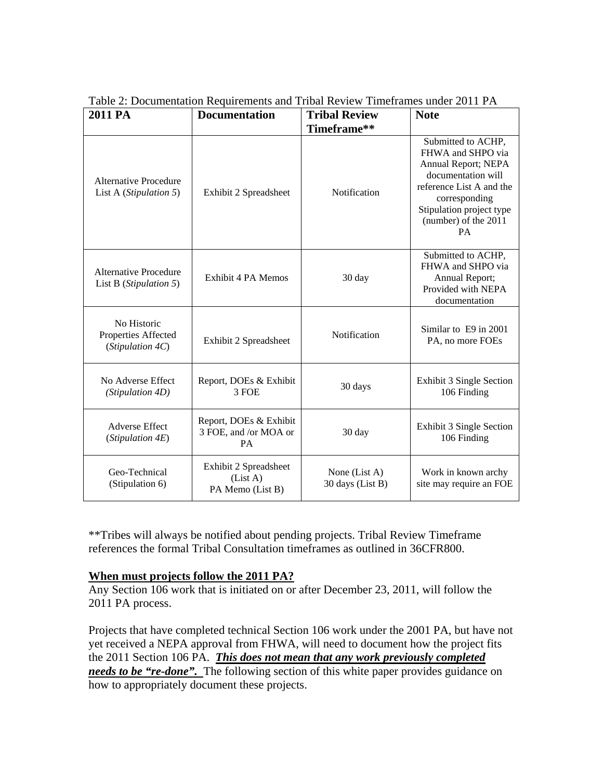| 2011 PA                                                | <b>Documentation</b>                                         | <b>Tribal Review</b>              | <b>Note</b>                                                                                                                                                                                 |
|--------------------------------------------------------|--------------------------------------------------------------|-----------------------------------|---------------------------------------------------------------------------------------------------------------------------------------------------------------------------------------------|
|                                                        |                                                              | Timeframe**                       |                                                                                                                                                                                             |
| Alternative Procedure<br>List A (Stipulation 5)        | Exhibit 2 Spreadsheet                                        | Notification                      | Submitted to ACHP,<br>FHWA and SHPO via<br>Annual Report; NEPA<br>documentation will<br>reference List A and the<br>corresponding<br>Stipulation project type<br>(number) of the 2011<br>PA |
| <b>Alternative Procedure</b><br>List B (Stipulation 5) | <b>Exhibit 4 PA Memos</b>                                    | 30 day                            | Submitted to ACHP,<br>FHWA and SHPO via<br>Annual Report;<br>Provided with NEPA<br>documentation                                                                                            |
| No Historic<br>Properties Affected<br>(Stipulation 4C) | Exhibit 2 Spreadsheet                                        | Notification                      | Similar to E9 in 2001<br>PA, no more FOEs                                                                                                                                                   |
| No Adverse Effect<br>(Stipulation 4D)                  | Report, DOEs & Exhibit<br>3 FOE                              | 30 days                           | Exhibit 3 Single Section<br>106 Finding                                                                                                                                                     |
| <b>Adverse Effect</b><br>(Stipulation 4E)              | Report, DOEs & Exhibit<br>3 FOE, and /or MOA or<br><b>PA</b> | 30 day                            | Exhibit 3 Single Section<br>106 Finding                                                                                                                                                     |
| Geo-Technical<br>(Stipulation 6)                       | Exhibit 2 Spreadsheet<br>(List A)<br>PA Memo (List B)        | None (List A)<br>30 days (List B) | Work in known archy<br>site may require an FOE                                                                                                                                              |

Table 2: Documentation Requirements and Tribal Review Timeframes under 2011 PA

\*\*Tribes will always be notified about pending projects. Tribal Review Timeframe references the formal Tribal Consultation timeframes as outlined in 36CFR800.

#### **When must projects follow the 2011 PA?**

Any Section 106 work that is initiated on or after December 23, 2011, will follow the 2011 PA process.

Projects that have completed technical Section 106 work under the 2001 PA, but have not yet received a NEPA approval from FHWA, will need to document how the project fits the 2011 Section 106 PA. *This does not mean that any work previously completed needs to be "re-done".* The following section of this white paper provides guidance on how to appropriately document these projects.